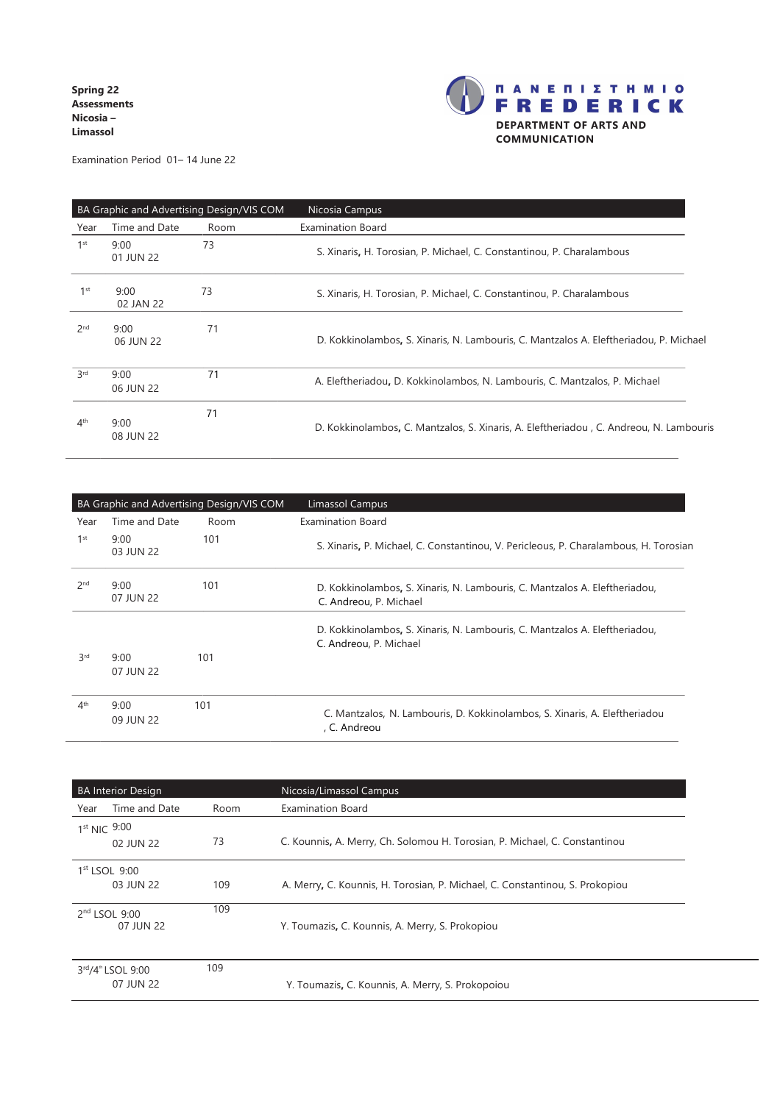**Spring 22 Assessments Nicosia – Limassol**



Examination Period 01– 14 June 22

| BA Graphic and Advertising Design/VIS COM |                   |      | Nicosia Campus                                                                          |
|-------------------------------------------|-------------------|------|-----------------------------------------------------------------------------------------|
| Year                                      | Time and Date     | Room | Examination Board                                                                       |
| 1 <sup>st</sup>                           | 9:00<br>01 JUN 22 | 73   | S. Xinaris, H. Torosian, P. Michael, C. Constantinou, P. Charalambous                   |
| 1 <sup>st</sup>                           | 9:00<br>02 JAN 22 | 73   | S. Xinaris, H. Torosian, P. Michael, C. Constantinou, P. Charalambous                   |
| 2 <sub>nd</sub>                           | 9:00<br>06 JUN 22 | 71   | D. Kokkinolambos, S. Xinaris, N. Lambouris, C. Mantzalos A. Eleftheriadou, P. Michael   |
| 3rd                                       | 9:00<br>06 JUN 22 | 71   | A. Eleftheriadou, D. Kokkinolambos, N. Lambouris, C. Mantzalos, P. Michael              |
| 4 <sup>th</sup>                           | 9:00<br>08 JUN 22 | 71   | D. Kokkinolambos, C. Mantzalos, S. Xinaris, A. Eleftheriadou , C. Andreou, N. Lambouris |

| BA Graphic and Advertising Design/VIS COM |                   |      | Limassol Campus                                                                                      |
|-------------------------------------------|-------------------|------|------------------------------------------------------------------------------------------------------|
| Year                                      | Time and Date     | Room | Examination Board                                                                                    |
| 1 <sup>st</sup>                           | 9:00<br>03 JUN 22 | 101  | S. Xinaris, P. Michael, C. Constantinou, V. Pericleous, P. Charalambous, H. Torosian                 |
| 2 <sub>nd</sub>                           | 9:00<br>07 JUN 22 | 101  | D. Kokkinolambos, S. Xinaris, N. Lambouris, C. Mantzalos A. Eleftheriadou,<br>C. Andreou, P. Michael |
|                                           |                   |      | D. Kokkinolambos, S. Xinaris, N. Lambouris, C. Mantzalos A. Eleftheriadou,<br>C. Andreou, P. Michael |
| 3rd                                       | 9:00<br>07 JUN 22 | 101  |                                                                                                      |
| 4 <sup>th</sup>                           | 9:00<br>09 JUN 22 | 101  | C. Mantzalos, N. Lambouris, D. Kokkinolambos, S. Xinaris, A. Eleftheriadou<br>, C. Andreou           |

| <b>BA Interior Design</b> |                                            |      | Nicosia/Limassol Campus                                                      |
|---------------------------|--------------------------------------------|------|------------------------------------------------------------------------------|
| Year                      | Time and Date                              | Room | <b>Examination Board</b>                                                     |
| 1st NIC 9:00              | 02 JUN 22                                  | 73   | C. Kounnis, A. Merry, Ch. Solomou H. Torosian, P. Michael, C. Constantinou   |
|                           | $1st$ LSOL $9:00$<br>03 JUN 22             | 109  | A. Merry, C. Kounnis, H. Torosian, P. Michael, C. Constantinou, S. Prokopiou |
|                           | 2 <sup>nd</sup> LSOL 9:00<br>07 JUN 22     | 109  | Y. Toumazis, C. Kounnis, A. Merry, S. Prokopiou                              |
|                           | 3rd/4 <sup>th</sup> LSOL 9:00<br>07 JUN 22 | 109  | Y. Toumazis, C. Kounnis, A. Merry, S. Prokopoiou                             |